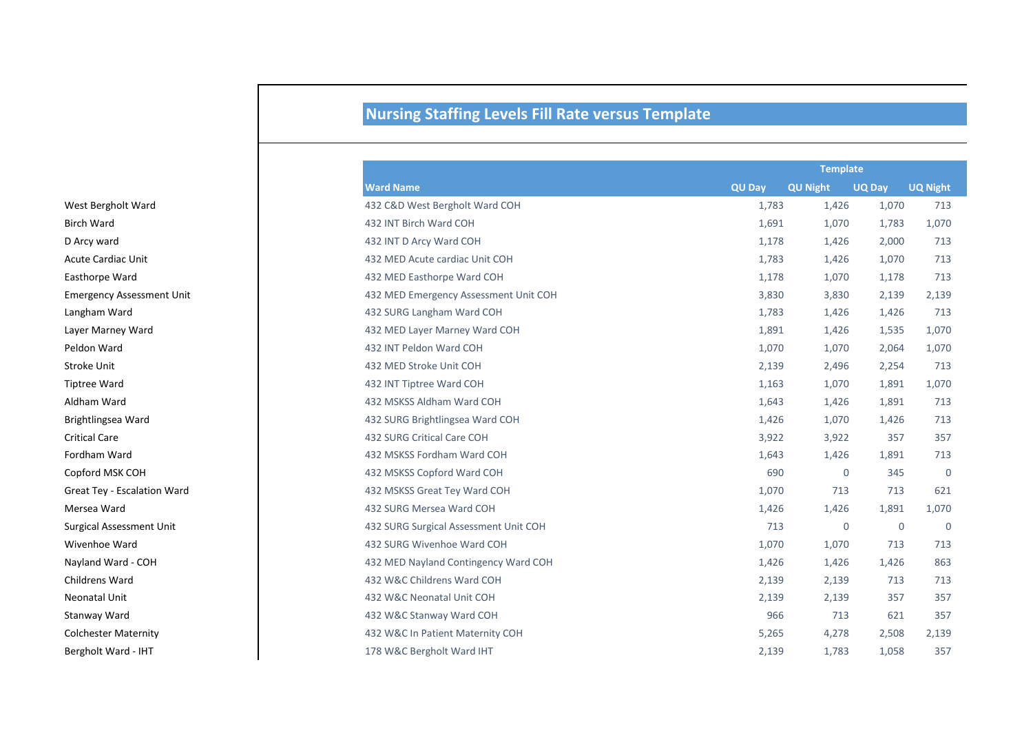## **Nursing Staffing Levels Fill Rate versus Template**

|                                  |                                       | <b>Template</b> |                 |               |                 |
|----------------------------------|---------------------------------------|-----------------|-----------------|---------------|-----------------|
|                                  | <b>Ward Name</b>                      | <b>QU Day</b>   | <b>QU Night</b> | <b>UQ Day</b> | <b>UQ Night</b> |
| West Bergholt Ward               | 432 C&D West Bergholt Ward COH        | 1,783           | 1,426           | 1,070         | 713             |
| Birch Ward                       | 432 INT Birch Ward COH                | 1,691           | 1,070           | 1,783         | 1,070           |
| D Arcy ward                      | 432 INT D Arcy Ward COH               | 1,178           | 1,426           | 2,000         | 713             |
| Acute Cardiac Unit               | 432 MED Acute cardiac Unit COH        | 1,783           | 1,426           | 1,070         | 713             |
| <b>Easthorpe Ward</b>            | 432 MED Easthorpe Ward COH            | 1,178           | 1,070           | 1,178         | 713             |
| <b>Emergency Assessment Unit</b> | 432 MED Emergency Assessment Unit COH | 3,830           | 3,830           | 2,139         | 2,139           |
| Langham Ward                     | 432 SURG Langham Ward COH             | 1,783           | 1,426           | 1,426         | 713             |
| Layer Marney Ward                | 432 MED Layer Marney Ward COH         | 1,891           | 1,426           | 1,535         | 1,070           |
| Peldon Ward                      | 432 INT Peldon Ward COH               | 1,070           | 1,070           | 2,064         | 1,070           |
| Stroke Unit                      | 432 MED Stroke Unit COH               | 2,139           | 2,496           | 2,254         | 713             |
| <b>Tiptree Ward</b>              | 432 INT Tiptree Ward COH              | 1,163           | 1,070           | 1,891         | 1,070           |
| Aldham Ward                      | 432 MSKSS Aldham Ward COH             | 1,643           | 1,426           | 1,891         | 713             |
| Brightlingsea Ward               | 432 SURG Brightlingsea Ward COH       | 1,426           | 1,070           | 1,426         | 713             |
| <b>Critical Care</b>             | 432 SURG Critical Care COH            | 3,922           | 3,922           | 357           | 357             |
| Fordham Ward                     | 432 MSKSS Fordham Ward COH            | 1,643           | 1,426           | 1,891         | 713             |
| Copford MSK COH                  | 432 MSKSS Copford Ward COH            | 690             | $\mathbf 0$     | 345           | $\overline{0}$  |
| Great Tey - Escalation Ward      | 432 MSKSS Great Tey Ward COH          | 1,070           | 713             | 713           | 621             |
| Mersea Ward                      | 432 SURG Mersea Ward COH              | 1,426           | 1,426           | 1,891         | 1,070           |
| Surgical Assessment Unit         | 432 SURG Surgical Assessment Unit COH | 713             | $\mathbf 0$     | $\mathbf 0$   | $\overline{0}$  |
| Wivenhoe Ward                    | 432 SURG Wivenhoe Ward COH            | 1,070           | 1,070           | 713           | 713             |
| Nayland Ward - COH               | 432 MED Nayland Contingency Ward COH  | 1,426           | 1,426           | 1,426         | 863             |
| Childrens Ward                   | 432 W&C Childrens Ward COH            | 2,139           | 2,139           | 713           | 713             |
| Neonatal Unit                    | 432 W&C Neonatal Unit COH             | 2,139           | 2,139           | 357           | 357             |
| Stanway Ward                     | 432 W&C Stanway Ward COH              | 966             | 713             | 621           | 357             |
| <b>Colchester Maternity</b>      | 432 W&C In Patient Maternity COH      | 5,265           | 4,278           | 2,508         | 2,139           |
| Bergholt Ward - IHT              | 178 W&C Bergholt Ward IHT             | 2,139           | 1,783           | 1,058         | 357             |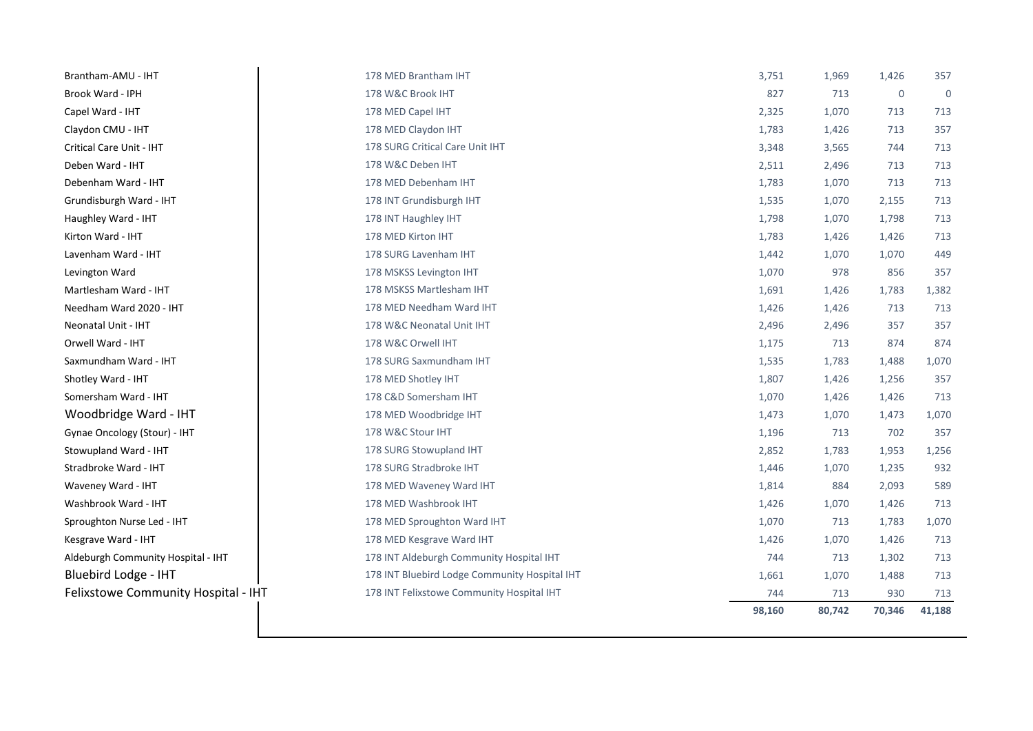| Brantham-AMU - IHT                  | 178 MED Brantham IHT                          | 3,751  | 1,969  | 1,426       | 357            |
|-------------------------------------|-----------------------------------------------|--------|--------|-------------|----------------|
| Brook Ward - IPH                    | 178 W&C Brook IHT                             | 827    | 713    | $\mathbf 0$ | $\overline{0}$ |
| Capel Ward - IHT                    | 178 MED Capel IHT                             | 2,325  | 1,070  | 713         | 713            |
| Claydon CMU - IHT                   | 178 MED Claydon IHT                           | 1,783  | 1,426  | 713         | 357            |
| Critical Care Unit - IHT            | 178 SURG Critical Care Unit IHT               | 3,348  | 3,565  | 744         | 713            |
| Deben Ward - IHT                    | 178 W&C Deben IHT                             | 2,511  | 2,496  | 713         | 713            |
| Debenham Ward - IHT                 | 178 MED Debenham IHT                          | 1,783  | 1,070  | 713         | 713            |
| Grundisburgh Ward - IHT             | 178 INT Grundisburgh IHT                      | 1,535  | 1,070  | 2,155       | 713            |
| Haughley Ward - IHT                 | 178 INT Haughley IHT                          | 1,798  | 1,070  | 1,798       | 713            |
| Kirton Ward - IHT                   | 178 MED Kirton IHT                            | 1,783  | 1,426  | 1,426       | 713            |
| Lavenham Ward - IHT                 | 178 SURG Lavenham IHT                         | 1,442  | 1,070  | 1,070       | 449            |
| Levington Ward                      | 178 MSKSS Levington IHT                       | 1,070  | 978    | 856         | 357            |
| Martlesham Ward - IHT               | 178 MSKSS Martlesham IHT                      | 1,691  | 1,426  | 1,783       | 1,382          |
| Needham Ward 2020 - IHT             | 178 MED Needham Ward IHT                      | 1,426  | 1,426  | 713         | 713            |
| Neonatal Unit - IHT                 | 178 W&C Neonatal Unit IHT                     | 2,496  | 2,496  | 357         | 357            |
| Orwell Ward - IHT                   | 178 W&C Orwell IHT                            | 1,175  | 713    | 874         | 874            |
| Saxmundham Ward - IHT               | 178 SURG Saxmundham IHT                       | 1,535  | 1,783  | 1,488       | 1,070          |
| Shotley Ward - IHT                  | 178 MED Shotley IHT                           | 1,807  | 1,426  | 1,256       | 357            |
| Somersham Ward - IHT                | 178 C&D Somersham IHT                         | 1,070  | 1,426  | 1,426       | 713            |
| Woodbridge Ward - IHT               | 178 MED Woodbridge IHT                        | 1,473  | 1,070  | 1,473       | 1,070          |
| Gynae Oncology (Stour) - IHT        | 178 W&C Stour IHT                             | 1,196  | 713    | 702         | 357            |
| Stowupland Ward - IHT               | 178 SURG Stowupland IHT                       | 2,852  | 1,783  | 1,953       | 1,256          |
| Stradbroke Ward - IHT               | 178 SURG Stradbroke IHT                       | 1,446  | 1,070  | 1,235       | 932            |
| Waveney Ward - IHT                  | 178 MED Waveney Ward IHT                      | 1,814  | 884    | 2,093       | 589            |
| Washbrook Ward - IHT                | 178 MED Washbrook IHT                         | 1,426  | 1,070  | 1,426       | 713            |
| Sproughton Nurse Led - IHT          | 178 MED Sproughton Ward IHT                   | 1,070  | 713    | 1,783       | 1,070          |
| Kesgrave Ward - IHT                 | 178 MED Kesgrave Ward IHT                     | 1,426  | 1,070  | 1,426       | 713            |
| Aldeburgh Community Hospital - IHT  | 178 INT Aldeburgh Community Hospital IHT      | 744    | 713    | 1,302       | 713            |
| Bluebird Lodge - IHT                | 178 INT Bluebird Lodge Community Hospital IHT | 1,661  | 1,070  | 1,488       | 713            |
| Felixstowe Community Hospital - IHT | 178 INT Felixstowe Community Hospital IHT     | 744    | 713    | 930         | 713            |
|                                     |                                               | 98,160 | 80,742 | 70,346      | 41,188         |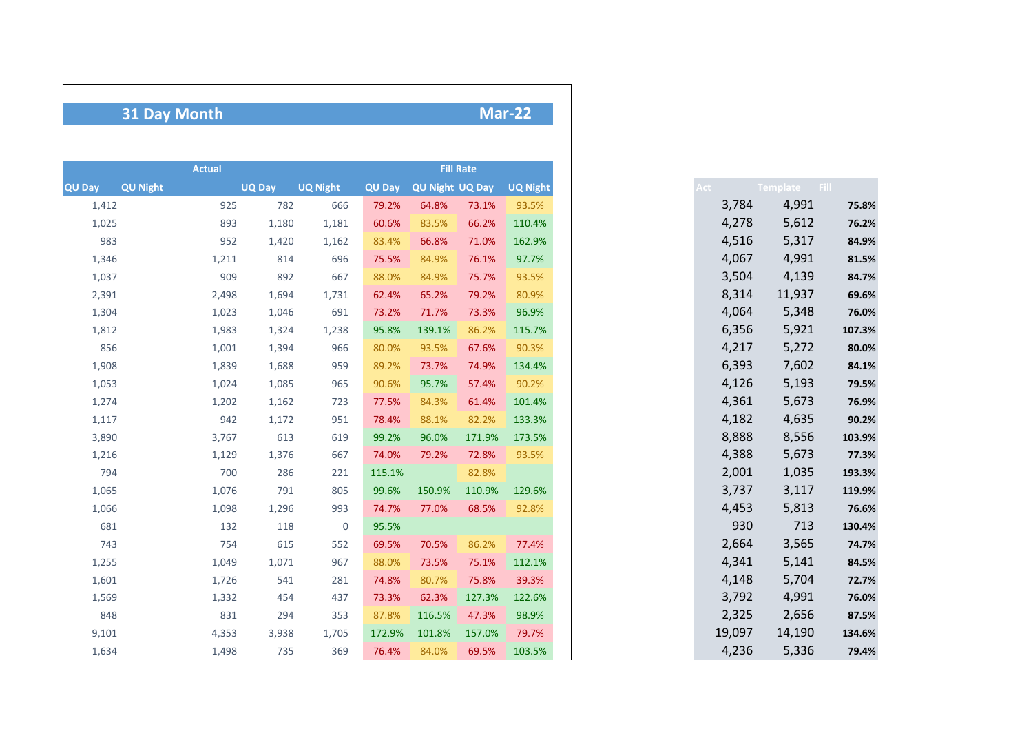## **Mar-22**

## **31 Day Month**

|        |                 | <b>Actual</b> |               |                 |               |                        | <b>Fill Rate</b> |                 |
|--------|-----------------|---------------|---------------|-----------------|---------------|------------------------|------------------|-----------------|
| QU Day | <b>QU Night</b> |               | <b>UQ Day</b> | <b>UQ Night</b> | <b>QU Day</b> | <b>QU Night UQ Day</b> |                  | <b>UQ Night</b> |
| 1,412  |                 | 925           | 782           | 666             | 79.2%         | 64.8%                  | 73.1%            | 93.5%           |
| 1,025  |                 | 893           | 1,180         | 1,181           | 60.6%         | 83.5%                  | 66.2%            | 110.4%          |
| 983    |                 | 952           | 1,420         | 1,162           | 83.4%         | 66.8%                  | 71.0%            | 162.9%          |
| 1,346  |                 | 1,211         | 814           | 696             | 75.5%         | 84.9%                  | 76.1%            | 97.7%           |
| 1,037  |                 | 909           | 892           | 667             | 88.0%         | 84.9%                  | 75.7%            | 93.5%           |
| 2,391  |                 | 2,498         | 1,694         | 1,731           | 62.4%         | 65.2%                  | 79.2%            | 80.9%           |
| 1,304  |                 | 1,023         | 1,046         | 691             | 73.2%         | 71.7%                  | 73.3%            | 96.9%           |
| 1,812  |                 | 1,983         | 1,324         | 1,238           | 95.8%         | 139.1%                 | 86.2%            | 115.7%          |
| 856    |                 | 1,001         | 1,394         | 966             | 80.0%         | 93.5%                  | 67.6%            | 90.3%           |
| 1,908  |                 | 1,839         | 1,688         | 959             | 89.2%         | 73.7%                  | 74.9%            | 134.4%          |
| 1,053  |                 | 1,024         | 1,085         | 965             | 90.6%         | 95.7%                  | 57.4%            | 90.2%           |
| 1,274  |                 | 1,202         | 1,162         | 723             | 77.5%         | 84.3%                  | 61.4%            | 101.4%          |
| 1,117  |                 | 942           | 1,172         | 951             | 78.4%         | 88.1%                  | 82.2%            | 133.3%          |
| 3,890  |                 | 3,767         | 613           | 619             | 99.2%         | 96.0%                  | 171.9%           | 173.5%          |
| 1,216  |                 | 1,129         | 1,376         | 667             | 74.0%         | 79.2%                  | 72.8%            | 93.5%           |
| 794    |                 | 700           | 286           | 221             | 115.1%        |                        | 82.8%            |                 |
| 1,065  |                 | 1,076         | 791           | 805             | 99.6%         | 150.9%                 | 110.9%           | 129.6%          |
| 1,066  |                 | 1,098         | 1,296         | 993             | 74.7%         | 77.0%                  | 68.5%            | 92.8%           |
| 681    |                 | 132           | 118           | $\overline{0}$  | 95.5%         |                        |                  |                 |
| 743    |                 | 754           | 615           | 552             | 69.5%         | 70.5%                  | 86.2%            | 77.4%           |
| 1,255  |                 | 1,049         | 1,071         | 967             | 88.0%         | 73.5%                  | 75.1%            | 112.1%          |
| 1,601  |                 | 1,726         | 541           | 281             | 74.8%         | 80.7%                  | 75.8%            | 39.3%           |
| 1,569  |                 | 1,332         | 454           | 437             | 73.3%         | 62.3%                  | 127.3%           | 122.6%          |
| 848    |                 | 831           | 294           | 353             | 87.8%         | 116.5%                 | 47.3%            | 98.9%           |
| 9,101  |                 | 4,353         | 3,938         | 1,705           | 172.9%        | 101.8%                 | 157.0%           | 79.7%           |
| 1,634  |                 | 1,498         | 735           | 369             | 76.4%         | 84.0%                  | 69.5%            | 103.5%          |

|        | Template Fill |        | Act |
|--------|---------------|--------|-----|
| 75.8%  | 4,991         | 3,784  |     |
| 76.2%  | 5,612         | 4,278  |     |
| 84.9%  | 5,317         | 4,516  |     |
| 81.5%  | 4,991         | 4,067  |     |
| 84.7%  | 4,139         | 3,504  |     |
| 69.6%  | 11,937        | 8,314  |     |
| 76.0%  | 5,348         | 4,064  |     |
| 107.3% | 5,921         | 6,356  |     |
| 80.0%  | 5,272         | 4,217  |     |
| 84.1%  | 7,602         | 6,393  |     |
| 79.5%  | 5,193         | 4,126  |     |
| 76.9%  | 5,673         | 4,361  |     |
| 90.2%  | 4,635         | 4,182  |     |
| 103.9% | 8,556         | 8,888  |     |
| 77.3%  | 5,673         | 4,388  |     |
| 193.3% | 1,035         | 2,001  |     |
| 119.9% | 3,117         | 3,737  |     |
| 76.6%  | 5,813         | 4,453  |     |
| 130.4% | 713           | 930    |     |
| 74.7%  | 3,565         | 2,664  |     |
| 84.5%  | 5,141         | 4,341  |     |
| 72.7%  | 5,704         | 4,148  |     |
| 76.0%  | 4,991         | 3,792  |     |
| 87.5%  | 2,656         | 2,325  |     |
| 134.6% | 14,190        | 19,097 |     |
| 79.4%  | 5,336         | 4,236  |     |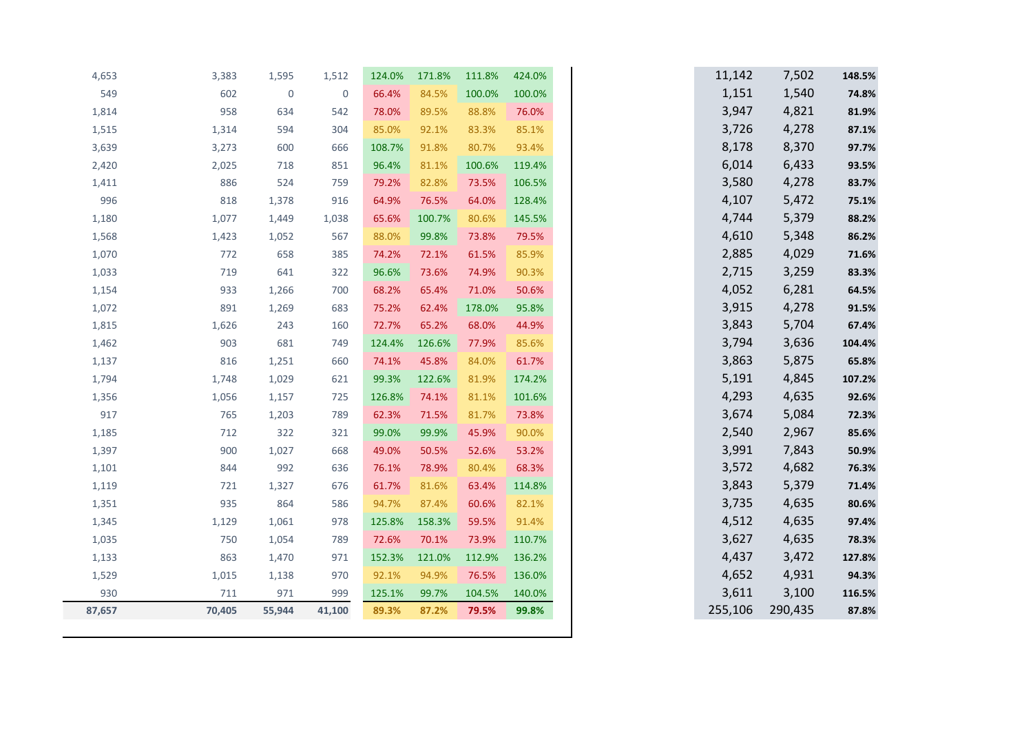| 4,653  | 3,383  | 1,595       | 1,512               | 124.0% | 171.8% | 111.8% | 424.0% |  | 11,142  | 7,502   |
|--------|--------|-------------|---------------------|--------|--------|--------|--------|--|---------|---------|
| 549    | 602    | $\mathbf 0$ | $\mathsf{O}\xspace$ | 66.4%  | 84.5%  | 100.0% | 100.0% |  | 1,151   | 1,540   |
| 1,814  | 958    | 634         | 542                 | 78.0%  | 89.5%  | 88.8%  | 76.0%  |  | 3,947   | 4,821   |
| 1,515  | 1,314  | 594         | 304                 | 85.0%  | 92.1%  | 83.3%  | 85.1%  |  | 3,726   | 4,278   |
| 3,639  | 3,273  | 600         | 666                 | 108.7% | 91.8%  | 80.7%  | 93.4%  |  | 8,178   | 8,370   |
| 2,420  | 2,025  | 718         | 851                 | 96.4%  | 81.1%  | 100.6% | 119.4% |  | 6,014   | 6,433   |
| 1,411  | 886    | 524         | 759                 | 79.2%  | 82.8%  | 73.5%  | 106.5% |  | 3,580   | 4,278   |
| 996    | 818    | 1,378       | 916                 | 64.9%  | 76.5%  | 64.0%  | 128.4% |  | 4,107   | 5,472   |
| 1,180  | 1,077  | 1,449       | 1,038               | 65.6%  | 100.7% | 80.6%  | 145.5% |  | 4,744   | 5,379   |
| 1,568  | 1,423  | 1,052       | 567                 | 88.0%  | 99.8%  | 73.8%  | 79.5%  |  | 4,610   | 5,348   |
| 1,070  | 772    | 658         | 385                 | 74.2%  | 72.1%  | 61.5%  | 85.9%  |  | 2,885   | 4,029   |
| 1,033  | 719    | 641         | 322                 | 96.6%  | 73.6%  | 74.9%  | 90.3%  |  | 2,715   | 3,259   |
| 1,154  | 933    | 1,266       | 700                 | 68.2%  | 65.4%  | 71.0%  | 50.6%  |  | 4,052   | 6,281   |
| 1,072  | 891    | 1,269       | 683                 | 75.2%  | 62.4%  | 178.0% | 95.8%  |  | 3,915   | 4,278   |
| 1,815  | 1,626  | 243         | 160                 | 72.7%  | 65.2%  | 68.0%  | 44.9%  |  | 3,843   | 5,704   |
| 1,462  | 903    | 681         | 749                 | 124.4% | 126.6% | 77.9%  | 85.6%  |  | 3,794   | 3,636   |
| 1,137  | 816    | 1,251       | 660                 | 74.1%  | 45.8%  | 84.0%  | 61.7%  |  | 3,863   | 5,875   |
| 1,794  | 1,748  | 1,029       | 621                 | 99.3%  | 122.6% | 81.9%  | 174.2% |  | 5,191   | 4,845   |
| 1,356  | 1,056  | 1,157       | 725                 | 126.8% | 74.1%  | 81.1%  | 101.6% |  | 4,293   | 4,635   |
| 917    | 765    | 1,203       | 789                 | 62.3%  | 71.5%  | 81.7%  | 73.8%  |  | 3,674   | 5,084   |
| 1,185  | 712    | 322         | 321                 | 99.0%  | 99.9%  | 45.9%  | 90.0%  |  | 2,540   | 2,967   |
| 1,397  | 900    | 1,027       | 668                 | 49.0%  | 50.5%  | 52.6%  | 53.2%  |  | 3,991   | 7,843   |
| 1,101  | 844    | 992         | 636                 | 76.1%  | 78.9%  | 80.4%  | 68.3%  |  | 3,572   | 4,682   |
| 1,119  | 721    | 1,327       | 676                 | 61.7%  | 81.6%  | 63.4%  | 114.8% |  | 3,843   | 5,379   |
| 1,351  | 935    | 864         | 586                 | 94.7%  | 87.4%  | 60.6%  | 82.1%  |  | 3,735   | 4,635   |
| 1,345  | 1,129  | 1,061       | 978                 | 125.8% | 158.3% | 59.5%  | 91.4%  |  | 4,512   | 4,635   |
| 1,035  | 750    | 1,054       | 789                 | 72.6%  | 70.1%  | 73.9%  | 110.7% |  | 3,627   | 4,635   |
| 1,133  | 863    | 1,470       | 971                 | 152.3% | 121.0% | 112.9% | 136.2% |  | 4,437   | 3,472   |
| 1,529  | 1,015  | 1,138       | 970                 | 92.1%  | 94.9%  | 76.5%  | 136.0% |  | 4,652   | 4,931   |
| 930    | 711    | 971         | 999                 | 125.1% | 99.7%  | 104.5% | 140.0% |  | 3,611   | 3,100   |
| 87,657 | 70,405 | 55,944      | 41,100              | 89.3%  | 87.2%  | 79.5%  | 99.8%  |  | 255,106 | 290,435 |
|        |        |             |                     |        |        |        |        |  |         |         |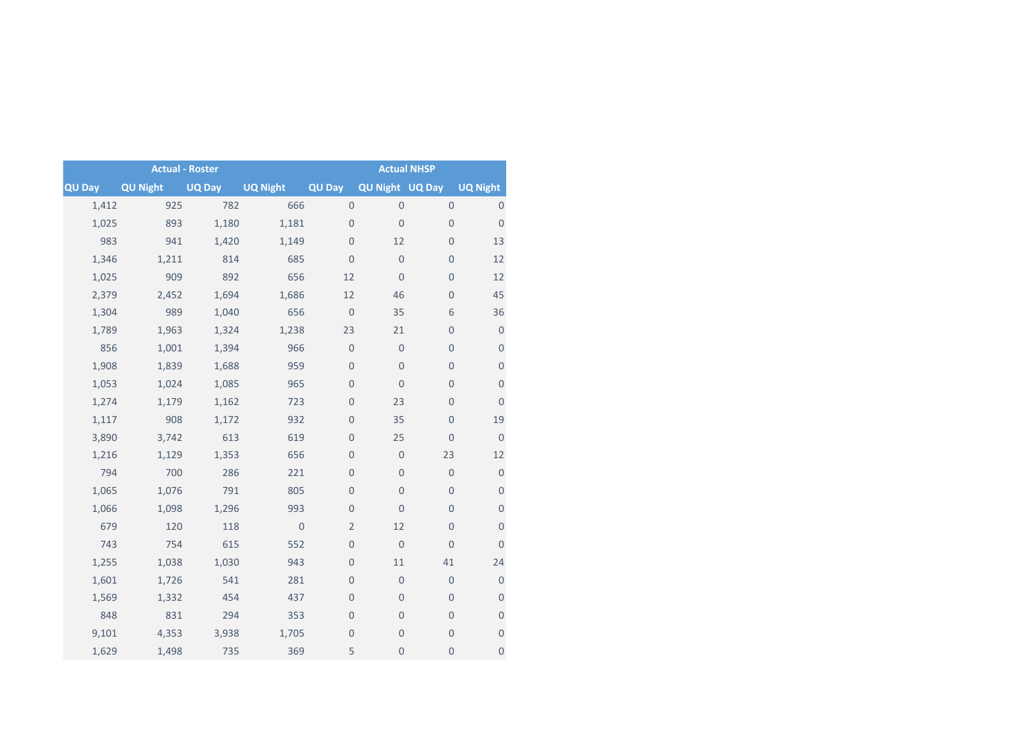|               |                 | <b>Actual - Roster</b> | <b>Actual NHSP</b> |                     |                     |                     |                     |  |
|---------------|-----------------|------------------------|--------------------|---------------------|---------------------|---------------------|---------------------|--|
| <b>QU Day</b> | <b>QU Night</b> | UQ Day                 | <b>UQ Night</b>    | QU Day              | QU Night UQ Day     |                     | <b>UQ Night</b>     |  |
| 1,412         | 925             | 782                    | 666                | $\mathsf{O}\xspace$ | $\mathsf{O}\xspace$ | $\mathsf{O}\xspace$ | $\mathsf{O}\xspace$ |  |
| 1,025         | 893             | 1,180                  | 1,181              | $\mathbf 0$         | $\mathbf 0$         | $\mathbf 0$         | $\mathbf 0$         |  |
| 983           | 941             | 1,420                  | 1,149              | $\overline{0}$      | 12                  | $\mathbf 0$         | 13                  |  |
| 1,346         | 1,211           | 814                    | 685                | $\overline{0}$      | $\mathbf 0$         | $\mathbf 0$         | 12                  |  |
| 1,025         | 909             | 892                    | 656                | 12                  | $\overline{0}$      | $\mathbf 0$         | 12                  |  |
| 2,379         | 2,452           | 1,694                  | 1,686              | 12                  | 46                  | $\mathbf 0$         | 45                  |  |
| 1,304         | 989             | 1,040                  | 656                | $\mathbf 0$         | 35                  | 6                   | 36                  |  |
| 1,789         | 1,963           | 1,324                  | 1,238              | 23                  | 21                  | $\mathbf 0$         | $\boldsymbol{0}$    |  |
| 856           | 1,001           | 1,394                  | 966                | $\mathbf 0$         | $\mathsf{O}\xspace$ | $\mathbf 0$         | $\boldsymbol{0}$    |  |
| 1,908         | 1,839           | 1,688                  | 959                | $\mathbf 0$         | $\mathbf 0$         | $\mathbf 0$         | $\mathsf{O}\xspace$ |  |
| 1,053         | 1,024           | 1,085                  | 965                | $\overline{0}$      | $\overline{0}$      | $\mathsf{O}\xspace$ | $\boldsymbol{0}$    |  |
| 1,274         | 1,179           | 1,162                  | 723                | $\mathbf 0$         | 23                  | $\mathbf 0$         | $\mathbf 0$         |  |
| 1,117         | 908             | 1,172                  | 932                | $\mathbf 0$         | 35                  | $\mathbf 0$         | 19                  |  |
| 3,890         | 3,742           | 613                    | 619                | $\overline{0}$      | 25                  | $\overline{0}$      | $\overline{0}$      |  |
| 1,216         | 1,129           | 1,353                  | 656                | $\overline{0}$      | $\mathbf 0$         | 23                  | 12                  |  |
| 794           | 700             | 286                    | 221                | $\mathbf 0$         | $\mathbf 0$         | $\mathsf{O}\xspace$ | $\mathsf{O}\xspace$ |  |
| 1,065         | 1,076           | 791                    | 805                | $\mathbf 0$         | $\mathbf 0$         | $\mathbf 0$         | $\boldsymbol{0}$    |  |
| 1,066         | 1,098           | 1,296                  | 993                | $\overline{0}$      | $\overline{0}$      | $\mathbf 0$         | $\mathbf 0$         |  |
| 679           | 120             | 118                    | $\mathbf 0$        | $\overline{2}$      | 12                  | $\mathbf 0$         | $\boldsymbol{0}$    |  |
| 743           | 754             | 615                    | 552                | $\overline{0}$      | $\mathbf 0$         | $\mathbf 0$         | $\mathsf{O}\xspace$ |  |
| 1,255         | 1,038           | 1,030                  | 943                | $\mathbf 0$         | 11                  | 41                  | 24                  |  |
| 1,601         | 1,726           | 541                    | 281                | $\overline{0}$      | $\mathbf 0$         | $\mathbf 0$         | $\mathsf{O}\xspace$ |  |
| 1,569         | 1,332           | 454                    | 437                | $\overline{0}$      | $\mathbf 0$         | $\boldsymbol{0}$    | $\boldsymbol{0}$    |  |
| 848           | 831             | 294                    | 353                | $\mathbf 0$         | $\mathbf 0$         | $\mathbf 0$         | $\boldsymbol{0}$    |  |
| 9,101         | 4,353           | 3,938                  | 1,705              | $\mathbf 0$         | $\mathbf 0$         | $\mathbf 0$         | $\mathsf{O}\xspace$ |  |
| 1,629         | 1,498           | 735                    | 369                | 5                   | $\mathbf 0$         | $\mathbf 0$         | $\mathbf 0$         |  |